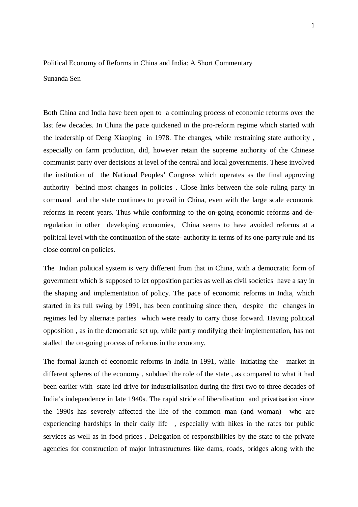## Political Economy of Reforms in China and India: A Short Commentary

## Sunanda Sen

Both China and India have been open to a continuing process of economic reforms over the last few decades. In China the pace quickened in the pro-reform regime which started with the leadership of Deng Xiaoping in 1978. The changes, while restraining state authority , especially on farm production, did, however retain the supreme authority of the Chinese communist party over decisions at level of the central and local governments. These involved the institution of the National Peoples' Congress which operates as the final approving authority behind most changes in policies . Close links between the sole ruling party in command and the state continues to prevail in China, even with the large scale economic reforms in recent years. Thus while conforming to the on-going economic reforms and deregulation in other developing economies, China seems to have avoided reforms at a political level with the continuation of the state- authority in terms of its one-party rule and its close control on policies.

The Indian political system is very different from that in China, with a democratic form of government which is supposed to let opposition parties as well as civil societies have a say in the shaping and implementation of policy. The pace of economic reforms in India, which started in its full swing by 1991, has been continuing since then, despite the changes in regimes led by alternate parties which were ready to carry those forward. Having political opposition , as in the democratic set up, while partly modifying their implementation, has not stalled the on-going process of reforms in the economy.

The formal launch of economic reforms in India in 1991, while initiating the market in different spheres of the economy , subdued the role of the state , as compared to what it had been earlier with state-led drive for industrialisation during the first two to three decades of India's independence in late 1940s. The rapid stride of liberalisation and privatisation since the 1990s has severely affected the life of the common man (and woman) who are experiencing hardships in their daily life , especially with hikes in the rates for public services as well as in food prices . Delegation of responsibilities by the state to the private agencies for construction of major infrastructures like dams, roads, bridges along with the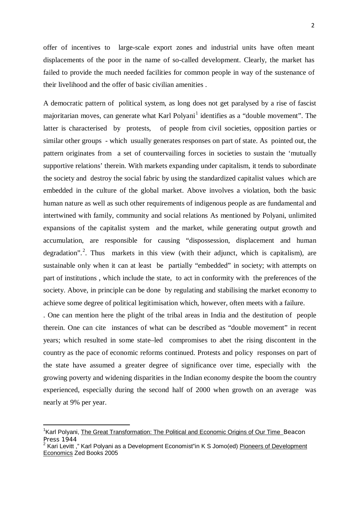offer of incentives to large-scale export zones and industrial units have often meant displacements of the poor in the name of so-called development. Clearly, the market has failed to provide the much needed facilities for common people in way of the sustenance of their livelihood and the offer of basic civilian amenities .

A democratic pattern of political system, as long does not get paralysed by a rise of fascist majoritarian moves, can generate what Karl Polyani<sup>[1](#page-1-0)</sup> identifies as a "double movement". The latter is characterised by protests, of people from civil societies, opposition parties or similar other groups - which usually generates responses on part of state. As pointed out, the pattern originates from a set of countervailing forces in societies to sustain the 'mutually supportive relations' therein. With markets expanding under capitalism, it tends to subordinate the society and destroy the social fabric by using the standardized capitalist values which are embedded in the culture of the global market. Above involves a violation, both the basic human nature as well as such other requirements of indigenous people as are fundamental and intertwined with family, community and social relations As mentioned by Polyani, unlimited expansions of the capitalist system and the market, while generating output growth and accumulation, are responsible for causing "dispossession, displacement and human degradation".<sup>[2](#page-1-1)</sup>. Thus markets in this view (with their adjunct, which is capitalism), are sustainable only when it can at least be partially "embedded" in society; with attempts on part of institutions , which include the state, to act in conformity with the preferences of the society. Above, in principle can be done by regulating and stabilising the market economy to achieve some degree of political legitimisation which, however, often meets with a failure.

. One can mention here the plight of the tribal areas in India and the destitution of people therein. One can cite instances of what can be described as "double movement" in recent years; which resulted in some state–led compromises to abet the rising discontent in the country as the pace of economic reforms continued. Protests and policy responses on part of the state have assumed a greater degree of significance over time, especially with the growing poverty and widening disparities in the Indian economy despite the boom the country experienced, especially during the second half of 2000 when growth on an average was nearly at 9% per year.

**.** 

<span id="page-1-0"></span><sup>&</sup>lt;sup>1</sup> Karl Polyani, *The Great Transformation: The Political and Economic Origins of Our Time* Beacon Press 1944

<span id="page-1-1"></span><sup>2</sup> Kari Levitt ," Karl Polyani as a Development Economist"in K S Jomo(ed) Pioneers of Development Economics Zed Books 2005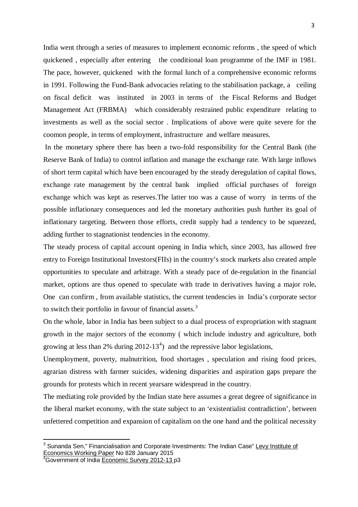India went through a series of measures to implement economic reforms , the speed of which quickened , especially after entering the conditional loan programme of the IMF in 1981. The pace, however, quickened with the formal lunch of a comprehensive economic reforms in 1991. Following the Fund-Bank advocacies relating to the stabilisation package, a ceiling on fiscal deficit was instituted in 2003 in terms of the Fiscal Reforms and Budget Management Act (FRBMA) which considerably restrained public expenditure relating to investments as well as the social sector . Implications of above were quite severe for the coomon people, in terms of employment, infrastructure and welfare measures.

In the monetary sphere there has been a two-fold responsibility for the Central Bank (the Reserve Bank of India) to control inflation and manage the exchange rate. With large inflows of short term capital which have been encouraged by the steady deregulation of capital flows, exchange rate management by the central bank implied official purchases of foreign exchange which was kept as reserves.The latter too was a cause of worry in terms of the possible inflationary consequences and led the monetary authorities push further its goal of inflationary targeting. Between those efforts, credit supply had a tendency to be squeezed, adding further to stagnationist tendencies in the economy.

The steady process of capital account opening in India which, since 2003, has allowed free entry to Foreign Institutional Investors(FIIs) in the country's stock markets also created ample opportunities to speculate and arbitrage. With a steady pace of de-regulation in the financial market, options are thus opened to speculate with trade in derivatives having a major role**.** One can confirm , from available statistics, the current tendencies in India's corporate sector to switch their portfolio in favour of financial assets.<sup>[3](#page-2-0)</sup>

On the whole, labor in India has been subject to a dual process of expropriation with stagnant growth in the major sectors of the economy ( which include industry and agriculture, both growing at less than 2% during  $2012-13<sup>4</sup>$  $2012-13<sup>4</sup>$  $2012-13<sup>4</sup>$  and the repressive labor legislations,

Unemployment, poverty, malnutrition, food shortages , speculation and rising food prices, agrarian distress with farmer suicides, widening disparities and aspiration gaps prepare the grounds for protests which in recent yearsare widespread in the country.

The mediating role provided by the Indian state here assumes a great degree of significance in the liberal market economy, with the state subject to an 'existentialist contradiction', between unfettered competition and expansion of capitalism on the one hand and the political necessity

**.** 

<span id="page-2-0"></span><sup>&</sup>lt;sup>3</sup> Sunanda Sen," Financialisation and Corporate Investments: The Indian Case" Levy Institute of <u>Economics Working Paper</u> No 828 January 2015<br><sup>4</sup>Government of India <u>Economic Survey 2012-13 </u>p3

<span id="page-2-1"></span>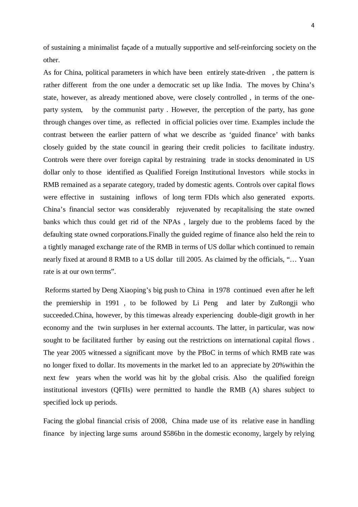of sustaining a minimalist façade of a mutually supportive and self-reinforcing society on the other.

As for China, political parameters in which have been entirely state-driven , the pattern is rather different from the one under a democratic set up like India. The moves by China's state, however, as already mentioned above, were closely controlled , in terms of the oneparty system, by the communist party . However, the perception of the party, has gone through changes over time, as reflected in official policies over time. Examples include the contrast between the earlier pattern of what we describe as 'guided finance' with banks closely guided by the state council in gearing their credit policies to facilitate industry. Controls were there over foreign capital by restraining trade in stocks denominated in US dollar only to those identified as Qualified Foreign Institutional Investors while stocks in RMB remained as a separate category, traded by domestic agents. Controls over capital flows were effective in sustaining inflows of long term FDIs which also generated exports. China's financial sector was considerably rejuvenated by recapitalising the state owned banks which thus could get rid of the NPAs , largely due to the problems faced by the defaulting state owned corporations.Finally the guided regime of finance also held the rein to a tightly managed exchange rate of the RMB in terms of US dollar which continued to remain nearly fixed at around 8 RMB to a US dollar till 2005. As claimed by the officials, "… Yuan rate is at our own terms".

Reforms started by Deng Xiaoping's big push to China in 1978 continued even after he left the premiership in 1991 , to be followed by Li Peng and later by ZuRongji who succeeded.China, however, by this timewas already experiencing double-digit growth in her economy and the twin surpluses in her external accounts. The latter, in particular, was now sought to be facilitated further by easing out the restrictions on international capital flows . The year 2005 witnessed a significant move by the PBoC in terms of which RMB rate was no longer fixed to dollar. Its movements in the market led to an appreciate by 20%within the next few years when the world was hit by the global crisis. Also the qualified foreign institutional investors (QFIIs) were permitted to handle the RMB (A) shares subject to specified lock up periods.

Facing the global financial crisis of 2008, China made use of its relative ease in handling finance by injecting large sums around \$586bn in the domestic economy, largely by relying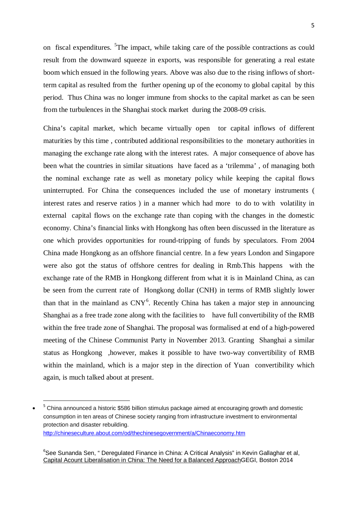on fiscal expenditures. <sup>[5](#page-4-0)</sup>The impact, while taking care of the possible contractions as could result from the downward squeeze in exports, was responsible for generating a real estate boom which ensued in the following years. Above was also due to the rising inflows of shortterm capital as resulted from the further opening up of the economy to global capital by this period. Thus China was no longer immune from shocks to the capital market as can be seen from the turbulences in the Shanghai stock market during the 2008-09 crisis.

China's capital market, which became virtually open tor capital inflows of different maturities by this time , contributed additional responsibilities to the monetary authorities in managing the exchange rate along with the interest rates. A major consequence of above has been what the countries in similar situations have faced as a 'trilemma' , of managing both the nominal exchange rate as well as monetary policy while keeping the capital flows uninterrupted. For China the consequences included the use of monetary instruments ( interest rates and reserve ratios ) in a manner which had more to do to with volatility in external capital flows on the exchange rate than coping with the changes in the domestic economy. China's financial links with Hongkong has often been discussed in the literature as one which provides opportunities for round-tripping of funds by speculators. From 2004 China made Hongkong as an offshore financial centre. In a few years London and Singapore were also got the status of offshore centres for dealing in Rmb.This happens with the exchange rate of the RMB in Hongkong different from what it is in Mainland China, as can be seen from the current rate of Hongkong dollar (CNH) in terms of RMB slightly lower than that in the mainland as  $CNY^6$  $CNY^6$ . Recently China has taken a major step in announcing Shanghai as a free trade zone along with the facilities to have full convertibility of the RMB within the free trade zone of Shanghai. The proposal was formalised at end of a high-powered meeting of the Chinese Communist Party in November 2013. Granting Shanghai a similar status as Hongkong ,however, makes it possible to have two-way convertibility of RMB within the mainland, which is a major step in the direction of Yuan convertibility which again, is much talked about at present.

**.** 

<span id="page-4-0"></span><sup>&</sup>lt;sup>5</sup> China announced a historic \$586 billion stimulus package aimed at encouraging growth and domestic consumption in ten areas of Chinese society ranging from infrastructure investment to environmental protection and disaster rebuilding. <http://chineseculture.about.com/od/thechinesegovernment/a/Chinaeconomy.htm>

<span id="page-4-1"></span><sup>&</sup>lt;sup>6</sup>See Sunanda Sen, " Deregulated Finance in China: A Critical Analysis" in Kevin Gallaghar et al, Capital Acount Liberalisation in China: The Need for a Balanced ApproachGEGI, Boston 2014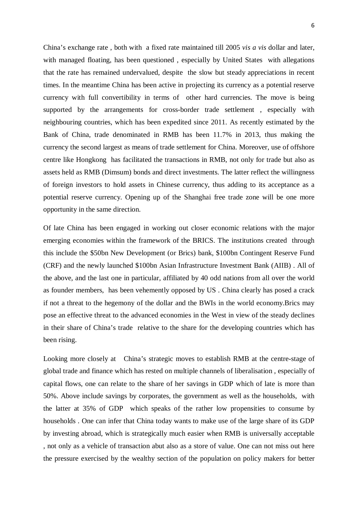China's exchange rate , both with a fixed rate maintained till 2005 *vis a vis* dollar and later, with managed floating, has been questioned , especially by United States with allegations that the rate has remained undervalued, despite the slow but steady appreciations in recent times. In the meantime China has been active in projecting its currency as a potential reserve currency with full convertibility in terms of other hard currencies. The move is being supported by the arrangements for cross-border trade settlement, especially with neighbouring countries, which has been expedited since 2011. As recently estimated by the Bank of China, trade denominated in RMB has been 11.7% in 2013, thus making the currency the second largest as means of trade settlement for China. Moreover, use of offshore centre like Hongkong has facilitated the transactions in RMB, not only for trade but also as assets held as RMB (Dimsum) bonds and direct investments. The latter reflect the willingness of foreign investors to hold assets in Chinese currency, thus adding to its acceptance as a potential reserve currency. Opening up of the Shanghai free trade zone will be one more opportunity in the same direction.

Of late China has been engaged in working out closer economic relations with the major emerging economies within the framework of the BRICS. The institutions created through this include the \$50bn New Development (or Brics) bank, \$100bn Contingent Reserve Fund (CRF) and the newly launched \$100bn Asian Infrastructure Investment Bank (AIIB) . All of the above, and the last one in particular, affiliated by 40 odd nations from all over the world as founder members, has been vehemently opposed by US . China clearly has posed a crack if not a threat to the hegemony of the dollar and the BWIs in the world economy.Brics may pose an effective threat to the advanced economies in the West in view of the steady declines in their share of China's trade relative to the share for the developing countries which has been rising.

Looking more closely at China's strategic moves to establish RMB at the centre-stage of global trade and finance which has rested on multiple channels of liberalisation , especially of capital flows, one can relate to the share of her savings in GDP which of late is more than 50%. Above include savings by corporates, the government as well as the households, with the latter at 35% of GDP which speaks of the rather low propensities to consume by households . One can infer that China today wants to make use of the large share of its GDP by investing abroad, which is strategically much easier when RMB is universally acceptable , not only as a vehicle of transaction abut also as a store of value. One can not miss out here the pressure exercised by the wealthy section of the population on policy makers for better